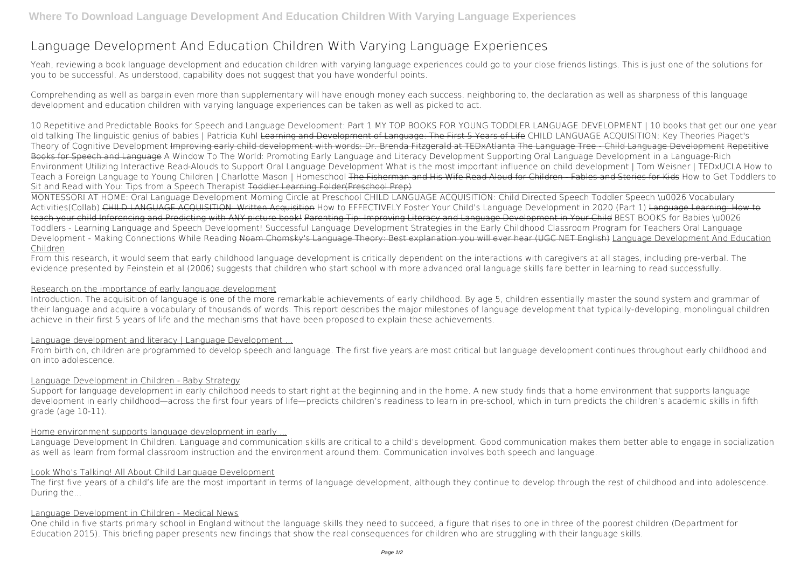# **Language Development And Education Children With Varying Language Experiences**

Yeah, reviewing a book **language development and education children with varying language experiences** could go to your close friends listings. This is just one of the solutions for you to be successful. As understood, capability does not suggest that you have wonderful points.

Comprehending as well as bargain even more than supplementary will have enough money each success. neighboring to, the declaration as well as sharpness of this language development and education children with varying language experiences can be taken as well as picked to act.

**10 Repetitive and Predictable Books for Speech and Language Development: Part 1 MY TOP BOOKS FOR YOUNG TODDLER LANGUAGE DEVELOPMENT | 10 books that get our one year old talking** *The linguistic genius of babies | Patricia Kuhl* Learning and Development of Language: The First 5 Years of Life *CHILD LANGUAGE ACQUISITION: Key Theories Piaget's Theory of Cognitive Development* Improving early child development with words: Dr. Brenda Fitzgerald at TEDxAtlanta The Language Tree - Child Language Development Repetitive Books for Speech and Language *A Window To The World: Promoting Early Language and Literacy Development Supporting Oral Language Development in a Language-Rich Environment* Utilizing Interactive Read-Alouds to Support Oral Language Development What is the most important influence on child development | Tom Weisner | TEDxUCLA How to Teach a Foreign Language to Young Children | Charlotte Mason | Homeschool The Fisherman and His Wife Read Aloud for Children - Fables and Stories for Kids **How to Get Toddlers to Sit and Read with You: Tips from a Speech Therapist** Toddler Learning Folder(Preschool Prep)

Support for language development in early childhood needs to start right at the beginning and in the home. A new study finds that a home environment that supports language development in early childhood—across the first four years of life—predicts children's readiness to learn in pre-school, which in turn predicts the children's academic skills in fifth grade (age 10-11).

MONTESSORI AT HOME: Oral Language Development Morning Circle at Preschool CHILD LANGUAGE ACQUISITION: Child Directed Speech Toddler Speech \u0026 Vocabulary Activities(Collab) CHILD LANGUAGE ACQUISITION: Written Acquisition *How to EFFECTIVELY Foster Your Child's Language Development in 2020 (Part 1)* Language Learning: How to teach your child Inferencing and Predicting with ANY picture book! Parenting Tip: Improving Literacy and Language Development in Your Child BEST BOOKS for Babies \u0026 Toddlers - Learning Language and Speech Development! *Successful Language Development Strategies in the Early Childhood Classroom Program for Teachers Oral Language Development - Making Connections While Reading* Noam Chomsky's Language Theory: Best explanation you will ever hear (UGC NET English) Language Development And Education Children

The first five years of a child's life are the most important in terms of language development, although they continue to develop through the rest of childhood and into adolescence. During the...

From this research, it would seem that early childhood language development is critically dependent on the interactions with caregivers at all stages, including pre-verbal. The evidence presented by Feinstein et al (2006) suggests that children who start school with more advanced oral language skills fare better in learning to read successfully.

# Research on the importance of early language development

Introduction. The acquisition of language is one of the more remarkable achievements of early childhood. By age 5, children essentially master the sound system and grammar of their language and acquire a vocabulary of thousands of words. This report describes the major milestones of language development that typically-developing, monolingual children achieve in their first 5 years of life and the mechanisms that have been proposed to explain these achievements.

# Language development and literacy | Language Development ...

From birth on, children are programmed to develop speech and language. The first five years are most critical but language development continues throughout early childhood and on into adolescence.

# Language Development in Children - Baby Strategy

# Home environment supports language development in early ...

Language Development In Children. Language and communication skills are critical to a child's development. Good communication makes them better able to engage in socialization as well as learn from formal classroom instruction and the environment around them. Communication involves both speech and language.

# Look Who's Talking! All About Child Language Development

# Language Development in Children - Medical News

One child in five starts primary school in England without the language skills they need to succeed, a figure that rises to one in three of the poorest children (Department for Education 2015). This briefing paper presents new findings that show the real consequences for children who are struggling with their language skills.